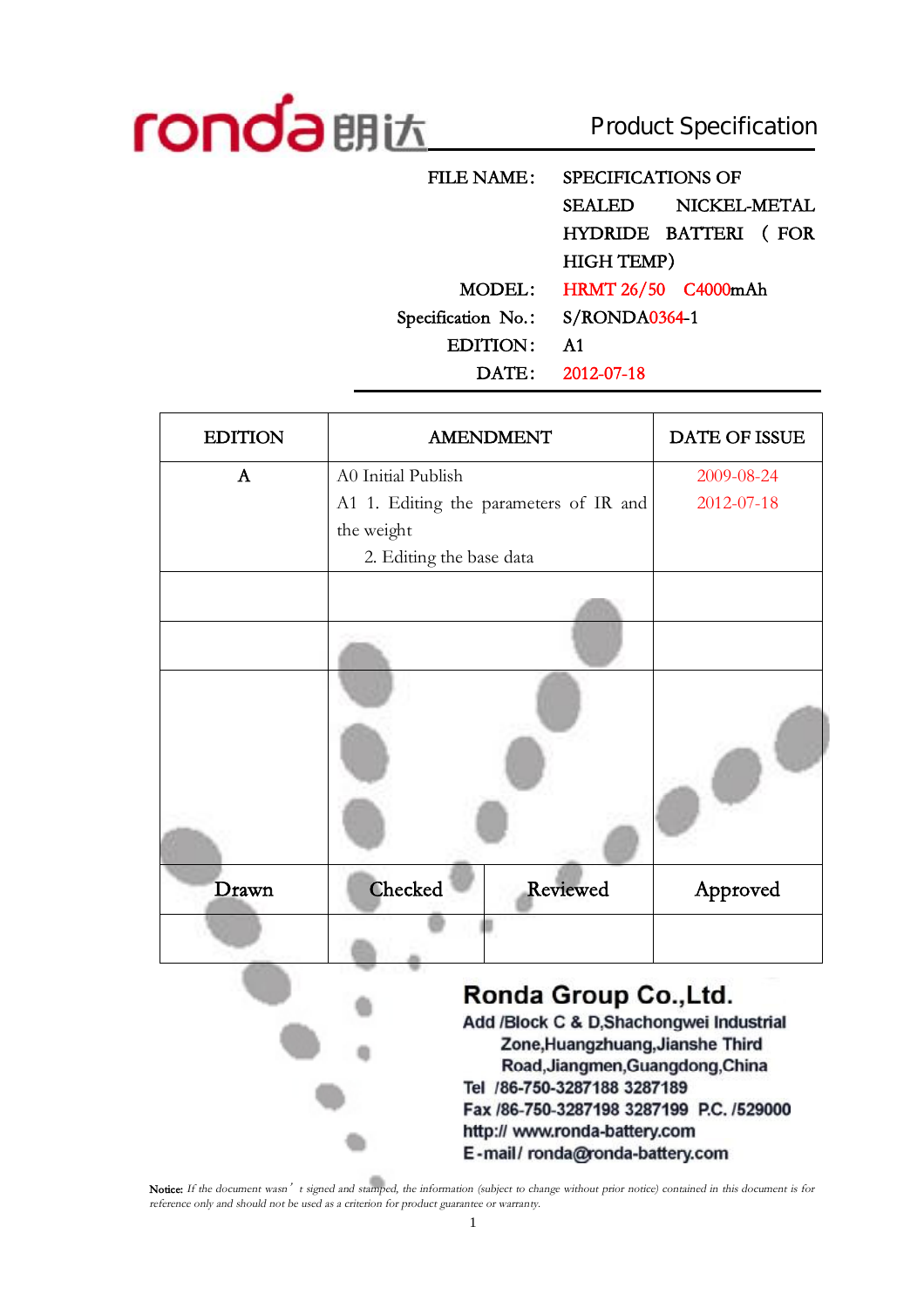

# Product Specification

**FILE NAME: SPECIFICATIONS OF SEALED NICKEL-METAL HYDRIDE BATTERI ( FOR HIGH TEMP) MODEL: HRMT 26/50 C4000mAh Specification No.: S/RONDA0364-1 EDITION: A1 DATE: 2012-07-18** 

|                    |          | <b>DATE OF ISSUE</b>                                                                                                                                                                                                                                                                                                                           |
|--------------------|----------|------------------------------------------------------------------------------------------------------------------------------------------------------------------------------------------------------------------------------------------------------------------------------------------------------------------------------------------------|
| A0 Initial Publish |          | 2009-08-24                                                                                                                                                                                                                                                                                                                                     |
|                    |          | 2012-07-18                                                                                                                                                                                                                                                                                                                                     |
| the weight         |          |                                                                                                                                                                                                                                                                                                                                                |
|                    |          |                                                                                                                                                                                                                                                                                                                                                |
|                    |          |                                                                                                                                                                                                                                                                                                                                                |
| Checked            | Reviewed | Approved                                                                                                                                                                                                                                                                                                                                       |
|                    |          |                                                                                                                                                                                                                                                                                                                                                |
|                    |          | <b>AMENDMENT</b><br>A1 1. Editing the parameters of IR and<br>2. Editing the base data<br>Ronda Group Co., Ltd.<br>Add /Block C & D,Shachongwei Industrial<br>Zone, Huangzhuang, Jianshe Third<br>Road, Jiangmen, Guangdong, China<br>Tel /86-750-3287188 3287189<br>Fax /86-750-3287198 3287199 P.C. /529000<br>http:// www.ronda.hattery.com |

http:// www.ronda-battery.com E-mail/ronda@ronda-battery.com

Notice: If the document wasn' t signed and stamped, the information (subject to change without prior notice) contained in this document is for *reference only and should not be used as <sup>a</sup> criterion for product guarantee or warranty.*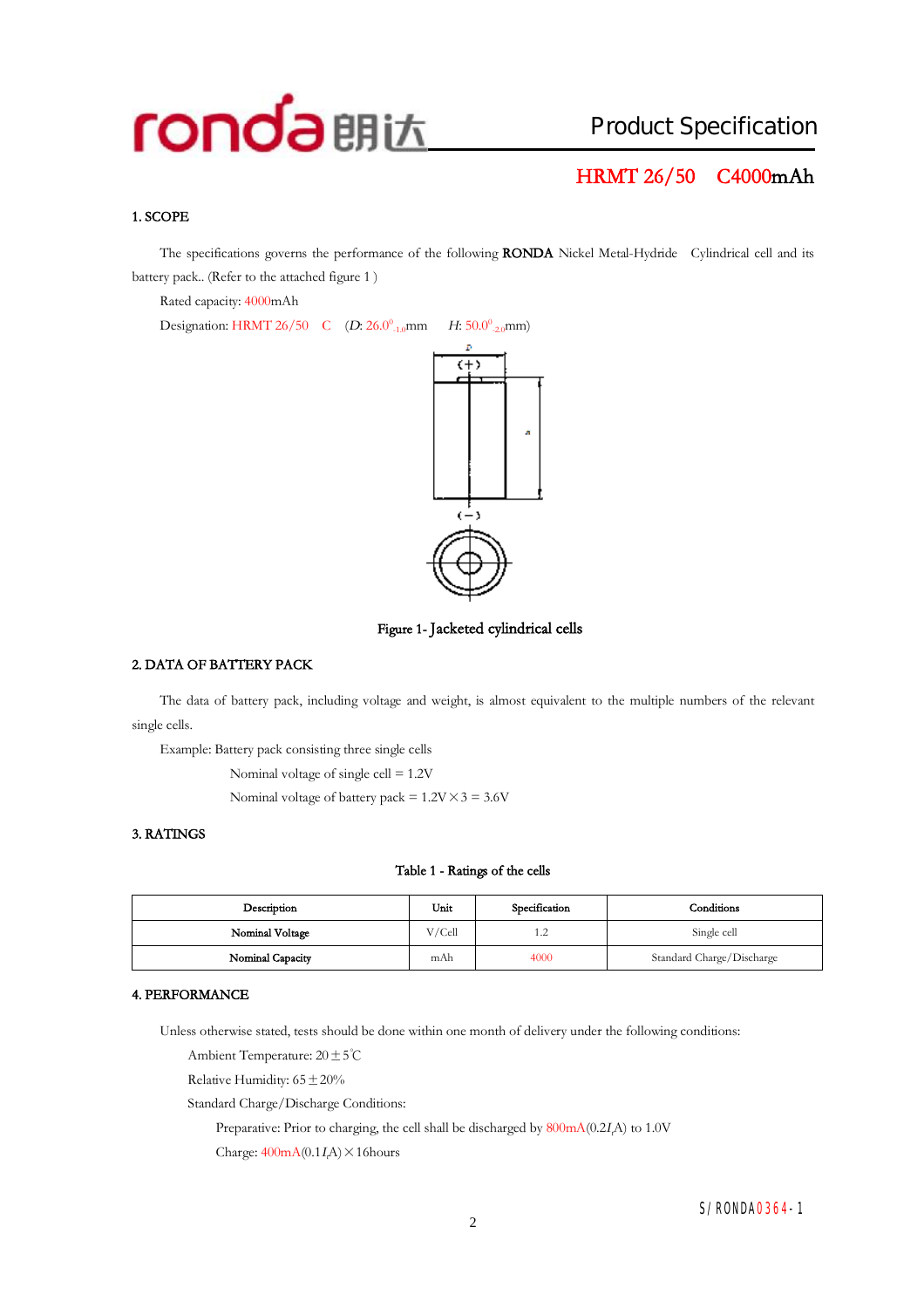## Product Specification

### **HRMT 26/50 C4000mAh**

#### **1. SCOPE**

The specifications governs the performance of the following **RONDA** Nickel Metal-Hydride Cylindrical cell and its battery pack.. (Refer to the attached figure 1 )

Rated capacity: 4000mAh

Designation: HRMT 26/50 C (*D*: 26.0<sup>0</sup><sub>-1.0</sub>mm  $_{-1.0}$ mm *H*: 50.0<sup>0</sup><sub>-2.0</sub>mm)



**Figure 1- Jacketed cylindrical cells** 

#### **2. DATA OF BATTERY PACK**

The data of battery pack, including voltage and weight, is almost equivalent to the multiple numbers of the relevant single cells.

Example: Battery pack consisting three single cells

Nominal voltage of single cell = 1.2V

Nominal voltage of battery pack =  $1.2V \times 3 = 3.6V$ 

#### **3. RATINGS**

#### **Table 1 - Ratings of the cells**

| Description      | Unit   | Specification | Conditions                |
|------------------|--------|---------------|---------------------------|
| Nominal Voltage  | V/Cell | 1.2           | Single cell               |
| Nominal Capacity | mAh    | 4000          | Standard Charge/Discharge |

#### **4. PERFORMANCE**

Unless otherwise stated, tests should be done within one month of delivery under the following conditions:

Ambient Temperature: 20±5℃

Relative Humidity:  $65 \pm 20\%$ 

Standard Charge/Discharge Conditions:

Preparative: Prior to charging, the cell shall be discharged by 800mA(0.2*<sup>I</sup>t*A) to 1.0V

Charge:  $400mA(0.1I\text{A}) \times 16$ hours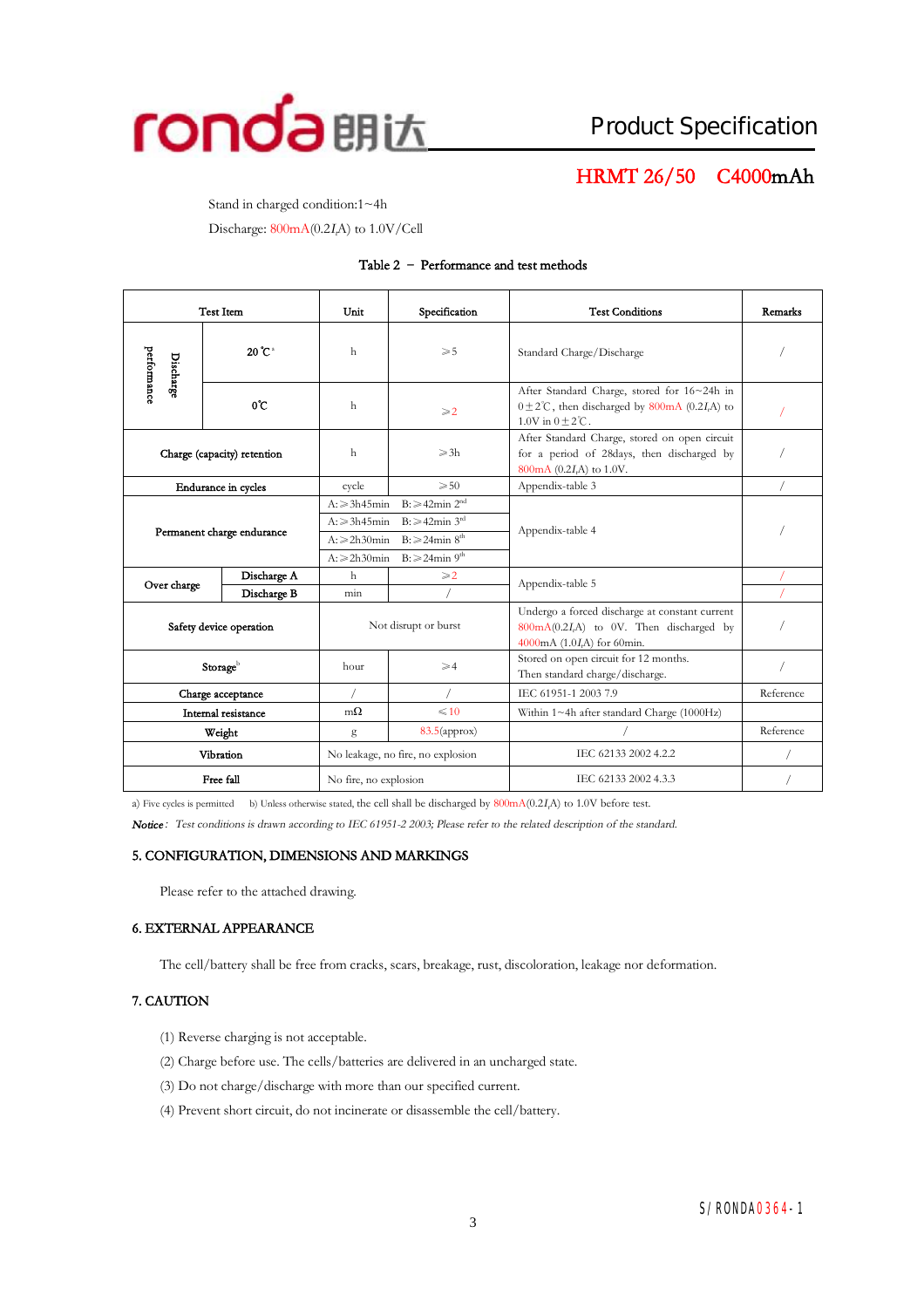

### **HRMT 26/50 C4000mAh**

Stand in charged condition:1~4h

Discharge: 800mA(0.2*<sup>I</sup>t*A) to 1.0V/Cell

#### **Table 2 – Performance and test methods**

|                             | <b>Test Item</b>            | Unit                                                                                                                                                                                                                   | Specification                     | <b>Test Conditions</b>                                                                                                                   | Remarks   |
|-----------------------------|-----------------------------|------------------------------------------------------------------------------------------------------------------------------------------------------------------------------------------------------------------------|-----------------------------------|------------------------------------------------------------------------------------------------------------------------------------------|-----------|
| performance<br>Discharge    | $20^{\circ}$ C <sup>a</sup> | h                                                                                                                                                                                                                      | $\geqslant 5$                     | Standard Charge/Discharge                                                                                                                |           |
|                             | $0^{\circ}$ C               | h                                                                                                                                                                                                                      | $\geqslant$ 2                     | After Standard Charge, stored for 16~24h in<br>$0 \pm 2^{\circ}$ C, then discharged by 800mA (0.2I,A) to<br>$1.0V$ in $0 + 2^{\circ}C$ . |           |
| Charge (capacity) retention |                             | h                                                                                                                                                                                                                      | $\geqslant$ 3h                    | After Standard Charge, stored on open circuit<br>for a period of 28days, then discharged by<br>800mA (0.2I,A) to 1.0V.                   |           |
|                             | Endurance in cycles         | cycle                                                                                                                                                                                                                  | $\geqslant 50$                    | Appendix-table 3                                                                                                                         |           |
| Permanent charge endurance  |                             | $B \geq 42$ min $2^{nd}$<br>$A: \geq 3h45$ min<br>$B: \geq 42$ min 3 <sup>rd</sup><br>$A: \geqslant 3h45$ min<br>$B: \geq 24$ min $8th$<br>$A: \geq 2h30$ min<br>$B: \geq 24$ min 9 <sup>th</sup><br>$A: \ge 2h30$ min |                                   | Appendix-table 4                                                                                                                         |           |
|                             | Discharge A                 | $\mathbf{h}$                                                                                                                                                                                                           | $\geqslant$ 2.                    | Appendix-table 5                                                                                                                         |           |
| Over charge                 | Discharge B                 | min                                                                                                                                                                                                                    |                                   |                                                                                                                                          |           |
|                             | Safety device operation     |                                                                                                                                                                                                                        | Not disrupt or burst              | Undergo a forced discharge at constant current<br>800mA(0.2I,A) to 0V. Then discharged by<br>4000mA (1.0I,A) for 60min.                  |           |
| Storageb                    |                             | hour<br>$\geqslant$ 4                                                                                                                                                                                                  |                                   | Stored on open circuit for 12 months.<br>Then standard charge/discharge.                                                                 |           |
| Charge acceptance           |                             |                                                                                                                                                                                                                        |                                   | IEC 61951-1 2003 7.9                                                                                                                     | Reference |
| Internal resistance         |                             | $m\Omega$                                                                                                                                                                                                              | $\leq 10$                         | Within 1~4h after standard Charge (1000Hz)                                                                                               |           |
| Weight                      |                             | g                                                                                                                                                                                                                      | $83.5$ (approx)                   |                                                                                                                                          | Reference |
| Vibration                   |                             |                                                                                                                                                                                                                        | No leakage, no fire, no explosion | IEC 62133 2002 4.2.2                                                                                                                     |           |
| Free fall                   |                             | No fire, no explosion                                                                                                                                                                                                  |                                   | IEC 62133 2002 4.3.3                                                                                                                     |           |

a) Five cycles is permitted b) Unless otherwise stated, the cell shall be discharged by 800mA(0.2*<sup>I</sup>t*A) to 1.0V before test.

*Notice:Test conditions is drawn according to IEC 61951-2 2003; Please refer to the related description of the standard.* 

#### **5. CONFIGURATION, DIMENSIONS AND MARKINGS**

Please refer to the attached drawing.

#### **6. EXTERNAL APPEARANCE**

The cell/battery shall be free from cracks, scars, breakage, rust, discoloration, leakage nor deformation.

#### **7. CAUTION**

- (1) Reverse charging is not acceptable.
- (2) Charge before use. The cells/batteries are delivered in an uncharged state.
- (3) Do not charge/discharge with more than our specified current.
- (4) Prevent short circuit, do not incinerate or disassemble the cell/battery.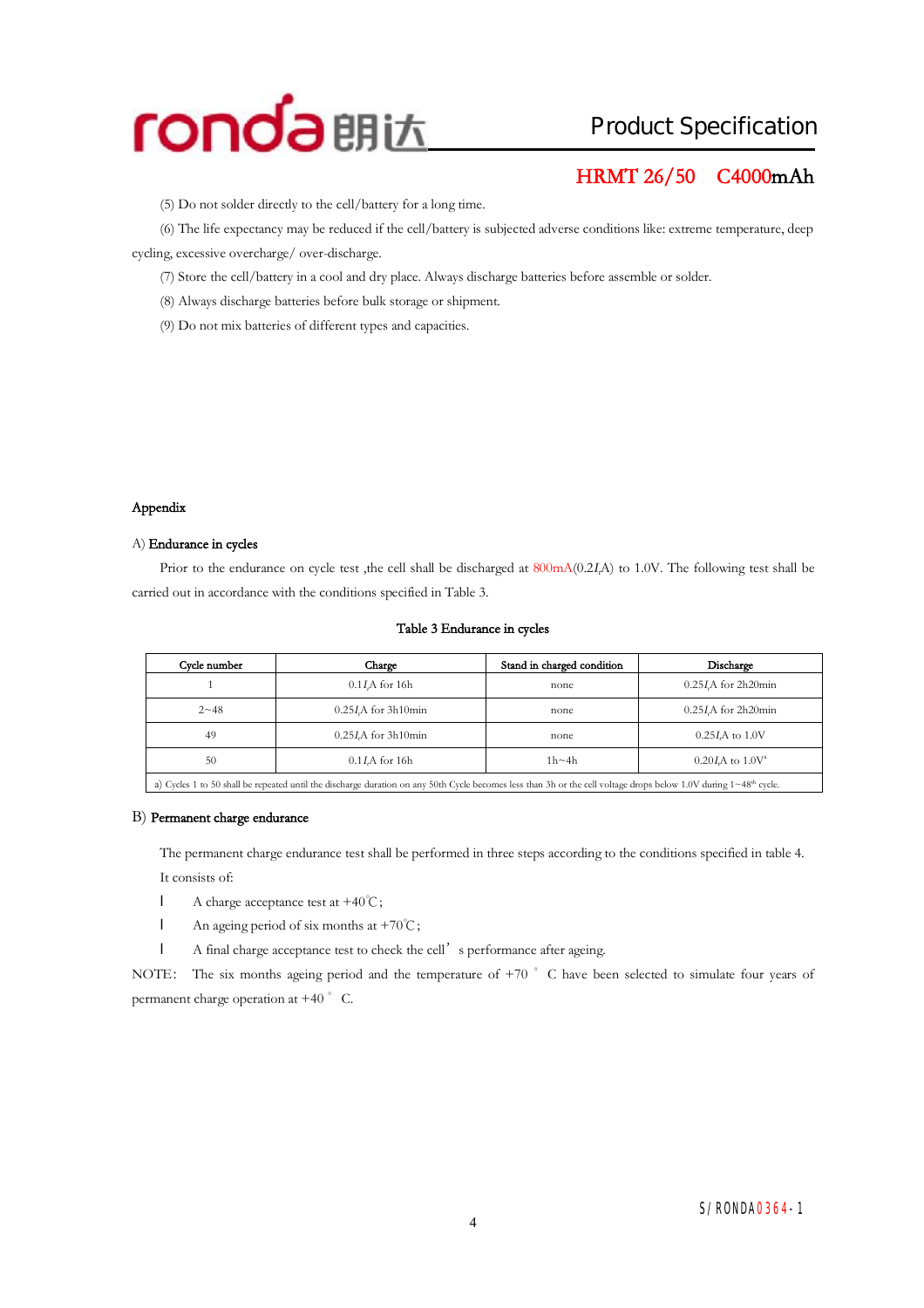## Product Specification

### **HRMT 26/50 C4000mAh**

(5) Do not solder directly to the cell/battery for a long time.

(6) The life expectancy may be reduced if the cell/battery is subjected adverse conditionslike: extreme temperature, deep cycling, excessive overcharge/ over-discharge.

(7) Store the cell/battery in a cool and dry place. Always discharge batteries before assemble or solder.

(8) Always discharge batteries before bulk storage or shipment.

(9) Do not mix batteries of different types and capacities.

#### **Appendix**

#### A) **Endurance in cycles**

Prior to the endurance on cycle test ,the cell shall be discharged at 800mA(0.2*<sup>I</sup>t*A) to 1.0V. The following test shall be carried out in accordance with the conditions specified in Table 3.

|  |  | Table 3 Endurance in cycles |  |  |
|--|--|-----------------------------|--|--|
|--|--|-----------------------------|--|--|

| Cycle number                                                                                                                                                                       | Charge                | Stand in charged condition | Discharge                 |  |  |
|------------------------------------------------------------------------------------------------------------------------------------------------------------------------------------|-----------------------|----------------------------|---------------------------|--|--|
|                                                                                                                                                                                    | $0.1IrA$ for 16h      | none                       | $0.25IcA$ for 2h20min     |  |  |
| $2 - 48$                                                                                                                                                                           | $0.25IcA$ for 3h10min | none                       | $0.25IrA$ for 2h20min     |  |  |
| 49                                                                                                                                                                                 | $0.25I$ A for 3h10min | none                       | $0.25I\text{A}$ to $1.0V$ |  |  |
| 50                                                                                                                                                                                 | $0.1I$ A for 16h      | $1h \sim 4h$               | $0.20 I A$ to $1.0 V^2$   |  |  |
| a) Cycles 1 to 50 shall be repeated until the discharge duration on any 50th Cycle becomes less than 3h or the cell voltage drops below 1.0V during $1 \sim 48^{\text{th}}$ cycle. |                       |                            |                           |  |  |

#### B) **Permanent charge endurance**

The permanent charge endurance test shall be performed in three steps according to the conditions specified in table 4. It consists of:

- l A charge acceptance test at +40℃;
- l An ageing period of six months at +70℃;
- l A final charge acceptance test to check the cell's performance after ageing.

NOTE: The six months ageing period and the temperature of +70 °C have been selected to simulate four years of permanent charge operation at  $+40$   $\degree$  C.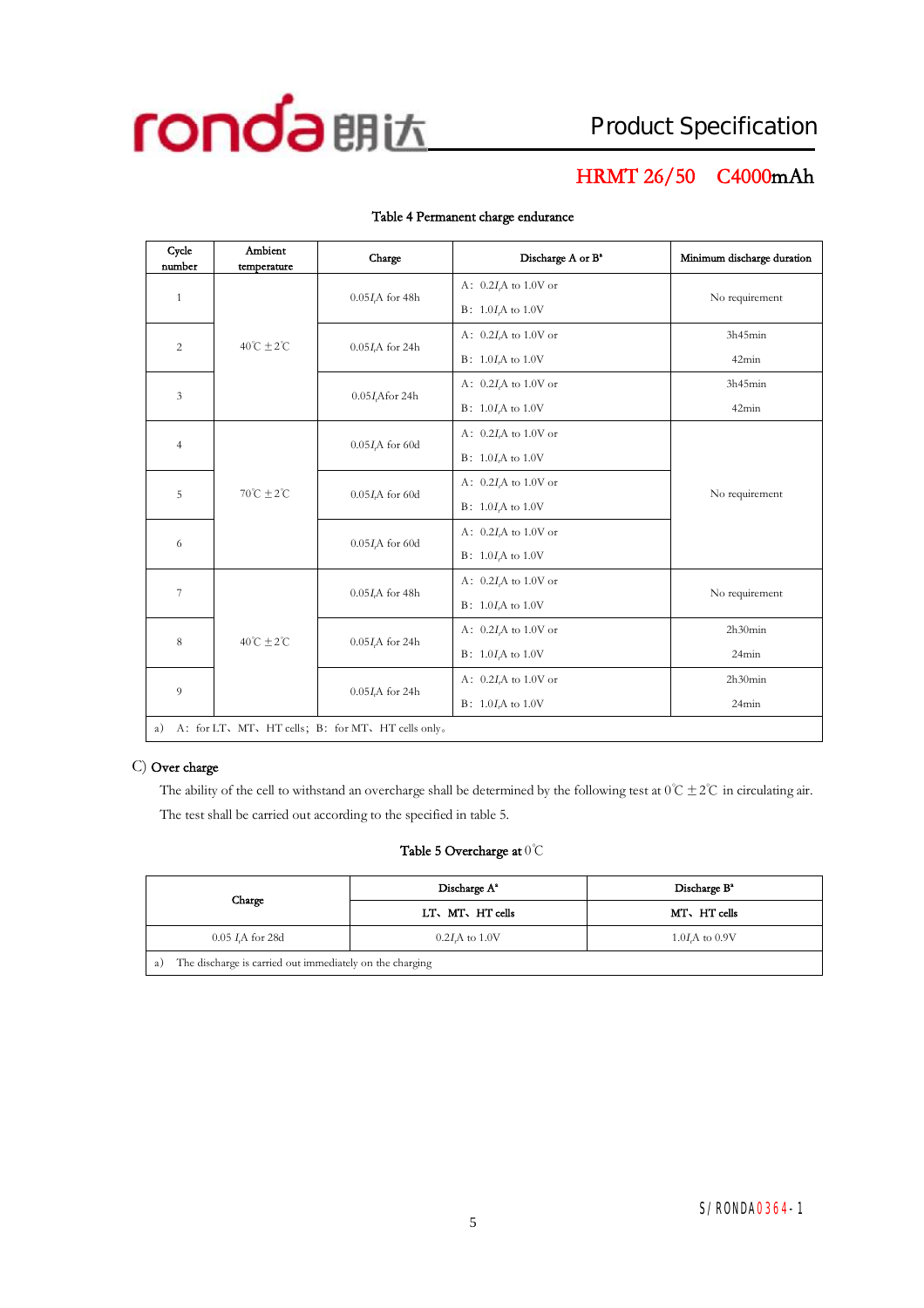

## **HRMT 26/50 C4000mAh**

| Cycle<br>number                                          | Ambient<br>temperature     | Charge                       | Discharge A or B <sup>a</sup> | Minimum discharge duration |  |
|----------------------------------------------------------|----------------------------|------------------------------|-------------------------------|----------------------------|--|
|                                                          |                            |                              | A: $0.2IrA$ to 1.0V or        |                            |  |
| $\mathbf{1}$                                             |                            | $0.05I$ <sub>A</sub> for 48h | $B: 1.0IrA$ to 1.0V           | No requirement             |  |
|                                                          | $40^{\circ}C + 2^{\circ}C$ |                              | A: $0.2I_tA$ to 1.0V or       | 3h45min                    |  |
| $\overline{c}$                                           |                            | $0.05I$ A for 24h            | $B: 1.0IrA$ to 1.0V           | 42min                      |  |
| 3                                                        |                            | 0.05 <i>I</i> , Afor 24h     | A: $0.2IrA$ to 1.0V or        | 3h45min                    |  |
|                                                          |                            |                              | $B: 1.0IrA$ to 1.0V           | 42min                      |  |
| $\overline{4}$                                           |                            | $0.05I$ A for 60d            | A: $0.2IrA$ to 1.0V or        |                            |  |
|                                                          |                            |                              | $B: 1.0IrA$ to 1.0V           |                            |  |
| 5                                                        | $70^{\circ}C + 2^{\circ}C$ | $0.05IrA$ for 60d            | A: $0.2I$ A to $1.0V$ or      | No requirement             |  |
|                                                          |                            |                              | $B: 1.0IrA$ to 1.0V           |                            |  |
| 6                                                        |                            |                              | $0.05I$ , A for 60d           | A: $0.2I_tA$ to 1.0V or    |  |
|                                                          |                            |                              | $B: 1.0I$ to 1.0V             |                            |  |
| $\overline{\phantom{a}}$                                 |                            | $0.05IrA$ for 48h            | A: $0.2I$ A to $1.0V$ or      | No requirement             |  |
|                                                          | $40^{\circ}C + 2^{\circ}C$ |                              | $B: 1.0IrA$ to 1.0V           |                            |  |
| 8                                                        |                            | $0.05I$ A for 24h            | A: $0.2IrA$ to 1.0V or        | 2h30min                    |  |
|                                                          |                            |                              | $B: 1.0I$ to 1.0V             | 24min                      |  |
| 9                                                        |                            | $0.05IrA$ for 24h            | A: $0.2I$ A to $1.0V$ or      | 2h30min                    |  |
|                                                          |                            |                              | $B: 1.0IrA$ to 1.0V           | 24min                      |  |
| A: for LT, MT, HT cells; B: for MT, HT cells only.<br>a) |                            |                              |                               |                            |  |

#### **Table 4 Permanent charge endurance**

#### C) **Over charge**

The ability of the cell to withstand an overcharge shall be determined by the following test at  $0^{\circ}C \pm 2^{\circ}C$  in circulating air. The test shall be carried out according to the specified in table 5.

#### **Table 5 Overcharge at** 0℃

|                                                                | Discharge A <sup>*</sup> | Discharge B <sup>a</sup> |  |  |  |
|----------------------------------------------------------------|--------------------------|--------------------------|--|--|--|
| Charge                                                         | LT, MT, HT cells         | MT, HT cells             |  |  |  |
| $0.05$ <i>I.A</i> for 28d                                      | $1.0I$ A to $0.9V$       |                          |  |  |  |
| The discharge is carried out immediately on the charging<br>a) |                          |                          |  |  |  |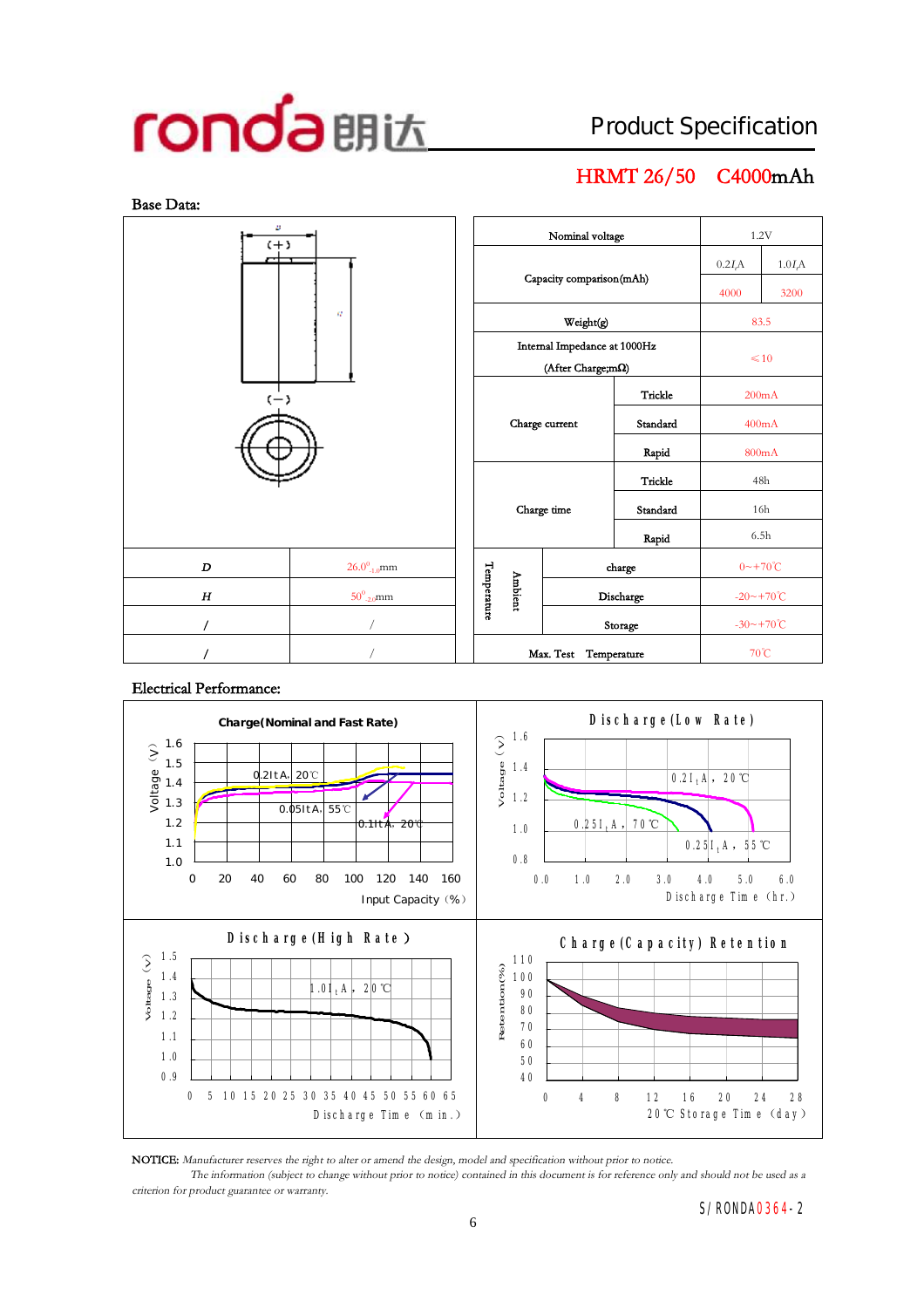## Product Specification

## **HRMT 26/50 C4000mAh**



#### **Electrical Performance:**



**NOTICE:** *Manufacturer reserves the right to alter or amend the design, model and specification without prior to notice.*

The information (subject to change without prior to notice) contained in this document is for reference only and should not be used as a *criterion for product guarantee or warranty.*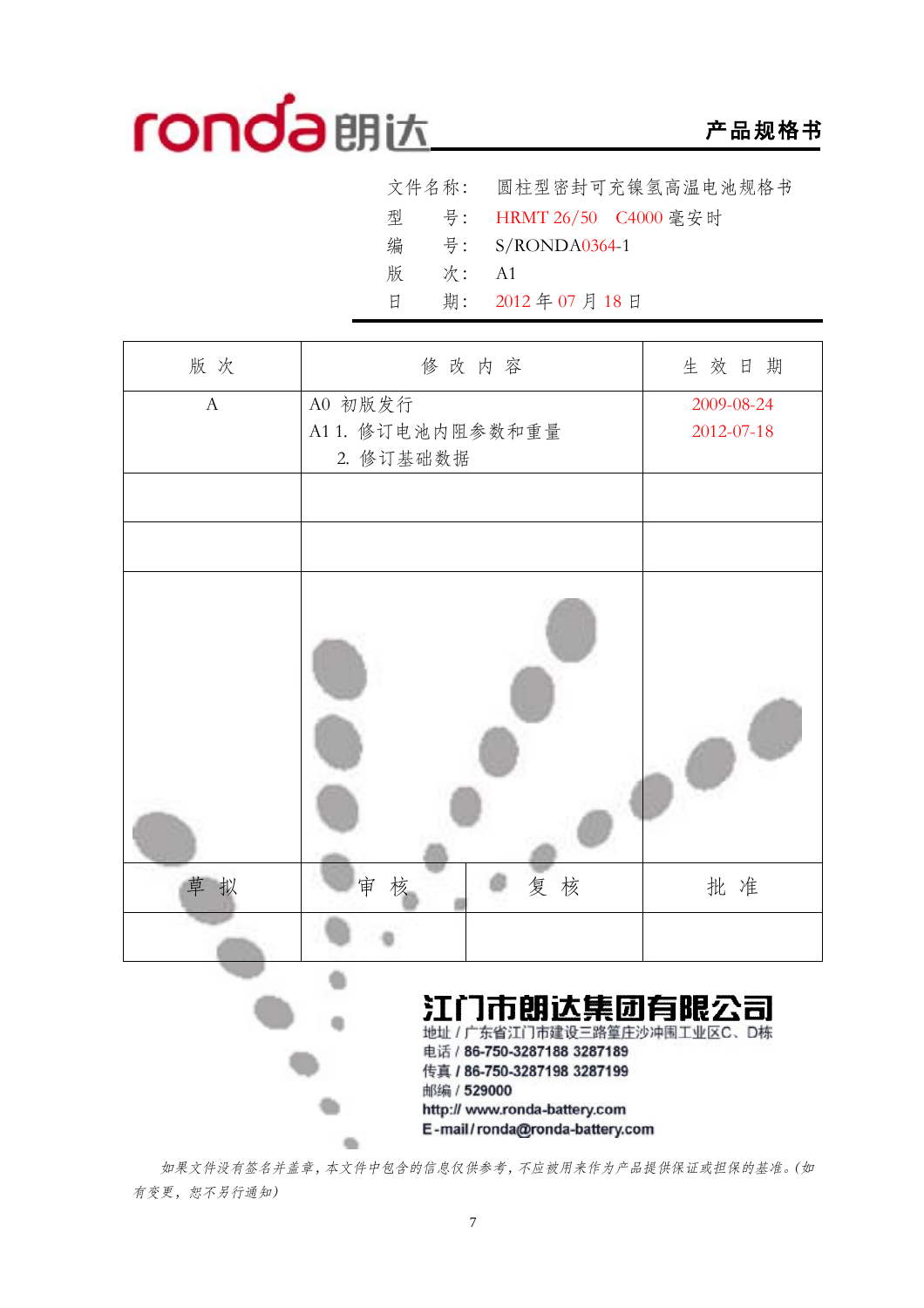## **产品规格书**

|   |       | 文件名称: 圆柱型密封可充镍氢高温电池规格书    |
|---|-------|---------------------------|
|   |       | 型 号: HRMT 26/50 C4000 毫安时 |
| 编 |       | 号: S/RONDA0364-1          |
| 版 | 次: A1 |                           |
| 日 |       | 期: 2012年07月18日            |

| 版次               | 修改内容                                                                                                     | 生效日期       |
|------------------|----------------------------------------------------------------------------------------------------------|------------|
| $\boldsymbol{A}$ | A0 初版发行                                                                                                  | 2009-08-24 |
|                  | A11. 修订电池内阻参数和重量                                                                                         | 2012-07-18 |
|                  | 2. 修订基础数据                                                                                                |            |
|                  |                                                                                                          |            |
|                  |                                                                                                          |            |
|                  |                                                                                                          |            |
| 草<br>拟           | 审<br>复核<br>核                                                                                             | 批准         |
|                  |                                                                                                          |            |
|                  | 江门市朗达集团有限公司<br>地址 / 广东省江门市建设三路篁庄沙冲围工业区C、D栋<br>电话 / 86-750-3287188 3287189<br>传真 / 86-750-3287198 3287199 |            |
|                  | 邮编 / 529000<br>http:// www.ronda-battery.com                                                             |            |

*如果文件没有签名并盖章,本文件中包含的信息仅供参考,不应被用来作为产品提供保证或担保的基准。(如 有变更,恕不另行通知)* 

en.

E-mail/ronda@ronda-battery.com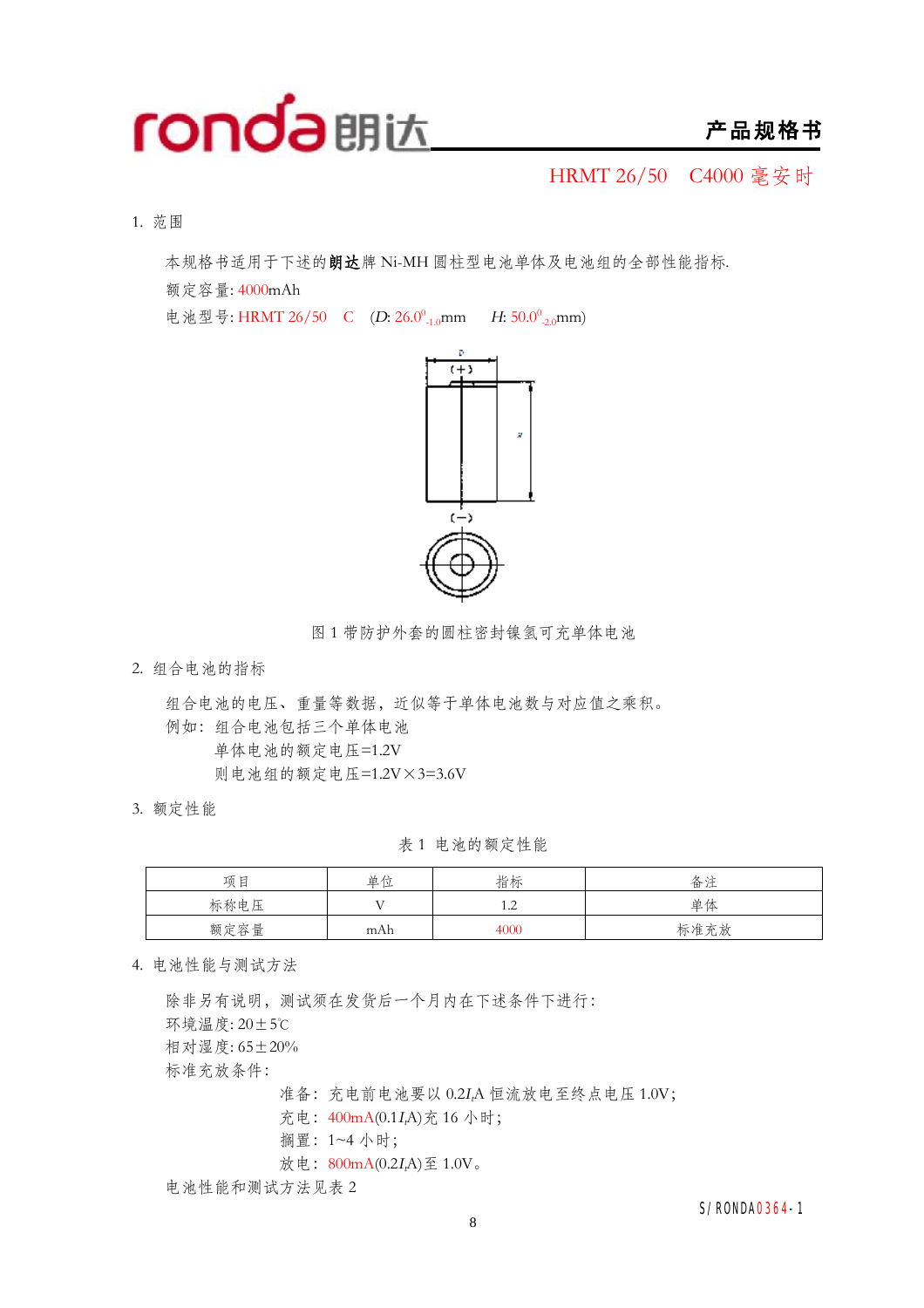

HRMT 26/50 C4000 毫安时

1. 范围

本规格书适用于下述的**朗达**牌 Ni-MH 圆柱型电池单体及电池组的全部性能指标.

额定容量: 4000mAh

电池型号: HRMT 26/50 C (D: 26.0<sup>0</sup><sub>-1.0</sub>mm *H*: 50.0<sup>0</sup><sub>-2.0</sub>mm)



图 1 带防护外套的圆柱密封镍氢可充单体电池

2. 组合电池的指标

组合电池的电压、重量等数据,近似等于单体电池数与对应值之乘积。 例如:组合电池包括三个单体电池 单体电池的额定电压=1.2V 则电池组的额定电压=1.2V×3=3.6V

3. 额定性能

表 1 电池的额定性能

| 项目   | 单位  | 指标   | 备注   |
|------|-----|------|------|
| 标称电压 | T   | 1.4  | 单体   |
| 额定容量 | mAh | 4000 | 标准充放 |

4. 电池性能与测试方法

除非另有说明,测试须在发货后一个月内在下述条件下进行: 环境温度: 20±5℃ 相对湿度: 65+20% 标准充放条件: 准备:充电前电池要以 0.2*<sup>I</sup>t*A 恒流放电至终点电压 1.0V; 充电:400mA(0.1*<sup>I</sup>t*A)充 16 小时; 搁置:1~4 小时; 放电: 800mA(0.2*I<sub>r</sub>A*)至 1.0V。 电池性能和测试方法见表 2

S/RONDA0364-1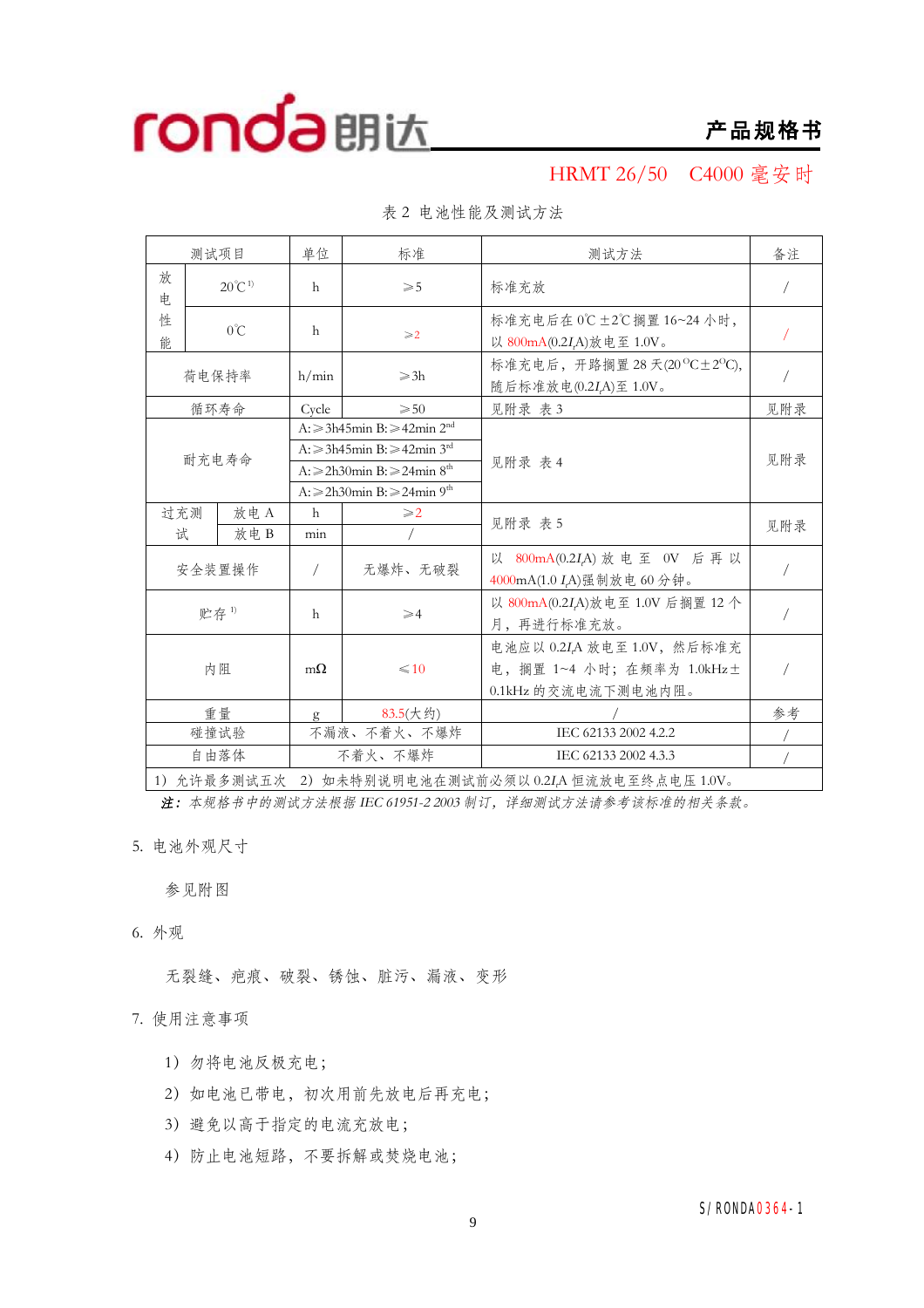

**产品规格书**

### HRMT 26/50 C4000 毫安时

|             | 测试项目                                                    | 单位           | 标准                                                | 测试方法                                                                          | 备注         |
|-------------|---------------------------------------------------------|--------------|---------------------------------------------------|-------------------------------------------------------------------------------|------------|
| 放<br>电      | $20^{\circ}C^{1}$                                       | h            | $\geqslant 5$                                     | 标准充放                                                                          | $\sqrt{2}$ |
| 性<br>能      | $0^{\circ}C$                                            | h            | $\geqslant$ 2                                     | 标准充电后在 0℃±2℃搁置 16~24 小时,<br>以 800mA(0.2I,A)放电至 1.0V。                          |            |
|             | 荷电保持率                                                   | h/min        | $\geqslant$ 3h                                    | 标准充电后, 开路搁置 28 天(20 °C±2 °C),<br>随后标准放电(0.2I <sub>r</sub> A)至 1.0V。           |            |
|             | 循环寿命                                                    | Cycle        | $\geqslant 50$                                    | 见附录 表 3                                                                       | 见附录        |
|             |                                                         |              | $A: \geq 3h45$ min B: $\geq 42$ min $2nd$         |                                                                               |            |
|             | 耐充电寿命                                                   |              | A: ≥3h45min B: ≥42min 3 <sup>rd</sup>             |                                                                               | 见附录        |
|             |                                                         |              | A: $\geq$ 2h30min B: $\geq$ 24min 8 <sup>th</sup> | 见附录 表 4                                                                       |            |
|             |                                                         |              | $A: \ge 2h30$ min B: $\ge 24$ min 9 <sup>th</sup> |                                                                               |            |
| 过充测<br>放电 A |                                                         | $\mathsf{h}$ | $\geqslant$ 2<br>见附录 表 5                          |                                                                               | 见附录        |
| 试           | 放电B                                                     | min          |                                                   |                                                                               |            |
|             | 安全装置操作                                                  | $\sqrt{2}$   | 无爆炸、无破裂                                           | 以 800mA(0.2IA) 放电至 0V 后再以<br>4000mA(1.0 I <sub>r</sub> A)强制放电 60 分钟。          |            |
|             | 贮存1)                                                    |              | $\geqslant$ 4                                     | 以 800mA(0.2I,A)放电至 1.0V 后搁置 12 个<br>月,再进行标准充放。                                |            |
| 内阻          |                                                         | $m\Omega$    | $\leq 10$                                         | 电池应以 0.2IA 放电至 1.0V, 然后标准充<br>电,搁置 1~4 小时;在频率为 1.0kHz±<br>0.1kHz 的交流电流下测电池内阻。 |            |
|             | 重量                                                      | $\mathbf{g}$ | 83.5(大约)                                          |                                                                               | 参考         |
|             | 碰撞试验                                                    |              | 不漏液、不着火、不爆炸                                       | IEC 62133 2002 4.2.2                                                          |            |
|             | 自由落体                                                    |              | 不着火、不爆炸                                           | IEC 62133 2002 4.3.3                                                          |            |
|             | 1) 允许最多测试五次<br>2) 如未特别说明电池在测试前必须以 0.2IA 恒流放电至终点电压 1.0V。 |              |                                                   |                                                                               |            |

表 2 电池性能及测试方法

1)允许最多测试五次 2)如未特别说明电池在测试前必须以 0.2*<sup>I</sup>t*A 恒流放电至终点电压 1.0V。

*注:本规格书中的测试方法根据 IEC 61951-2 <sup>2003</sup> 制订,详细测试方法请参考该标准的相关条款。*

5. 电池外观尺寸

参见附图

6. 外观

无裂缝、疤痕、破裂、锈蚀、脏污、漏液、变形

#### 7. 使用注意事项

- 1)勿将电池反极充电;
- 2)如电池已带电,初次用前先放电后再充电;
- 3)避免以高于指定的电流充放电;
- 4)防止电池短路,不要拆解或焚烧电池;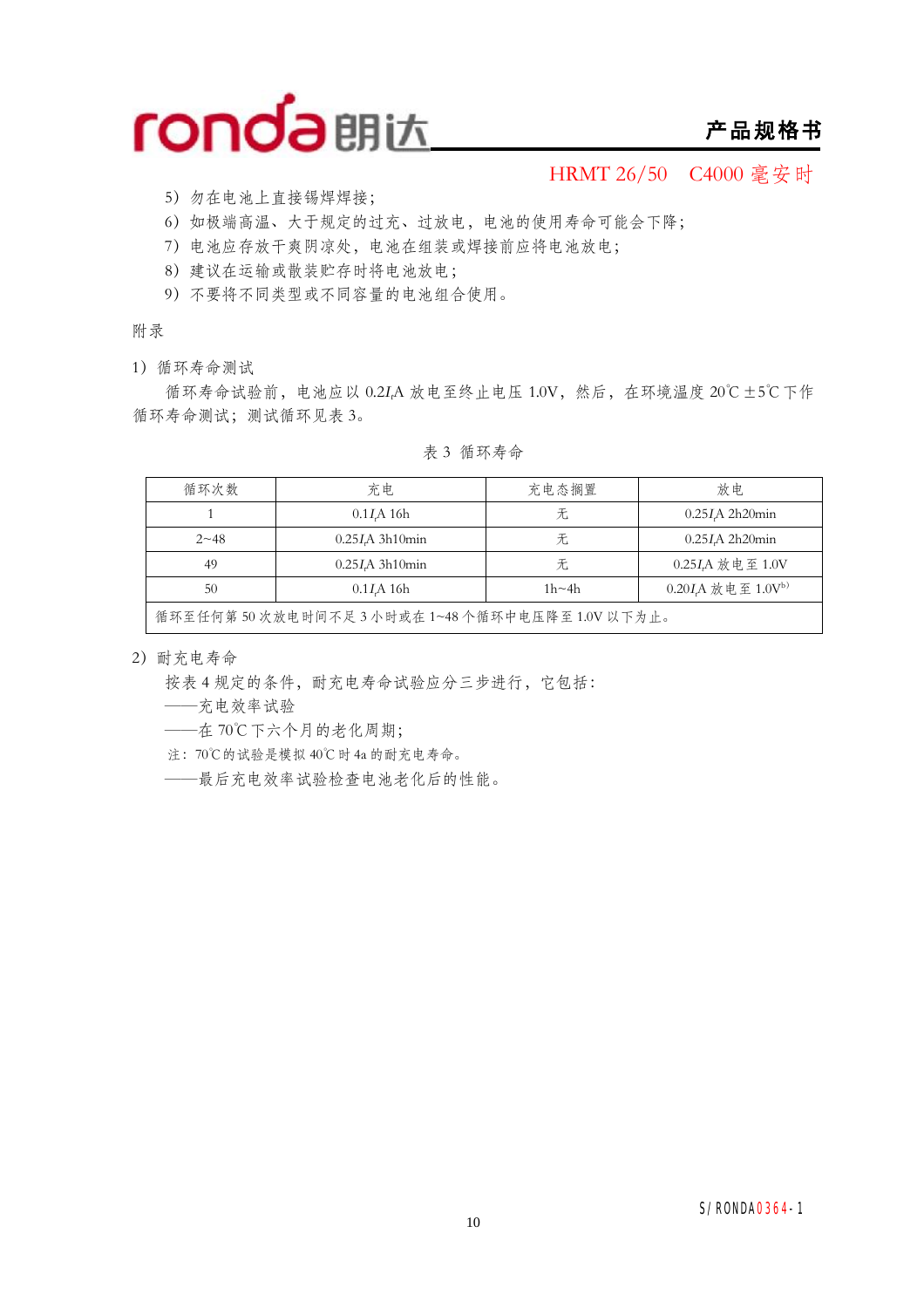

### **产品规格书**

HRMT 26/50 C4000 毫安时

- 5)勿在电池上直接锡焊焊接;
- 6)如极端高温、大于规定的过充、过放电,电池的使用寿命可能会下降;
- 7)电池应存放干爽阴凉处,电池在组装或焊接前应将电池放电;
- 8)建议在运输或散装贮存时将电池放电;
- 9)不要将不同类型或不同容量的电池组合使用。

附录

1)循环寿命测试

循环寿命试验前,电池应以 0.2*<sup>I</sup>t*A 放电至终止电压 1.0V,然后,在环境温度 20℃±5℃下作 循环寿命测试;测试循环见表 3。

| 循环次数                                                        | 充电                      | 充电态搁置 | 放电                |  |  |
|-------------------------------------------------------------|-------------------------|-------|-------------------|--|--|
|                                                             | $0.1I$ A 16h            | 无     | $0.25I$ A 2h20min |  |  |
| $2 - 48$                                                    | $0.25I\text{A}$ 3h10min | 无     | $0.25I$ A 2h20min |  |  |
| 49                                                          | $0.25I\text{A}$ 3h10min | 无     | 0.25IA 放电至 1.0V   |  |  |
| $0.20I$ A 放电至 $1.0Vb$<br>$1h \sim 4h$<br>50<br>$0.1I$ A 16h |                         |       |                   |  |  |
| 循环至任何第50次放电时间不足3小时或在1~48个循环中电压降至1.0V以下为止。                   |                         |       |                   |  |  |

表 3 循环寿命

2)耐充电寿命

按表 4 规定的条件,耐充电寿命试验应分三步进行,它包括:

——充电效率试验

——在 70℃下六个月的老化周期;

注:70℃的试验是模拟 40℃时 4a 的耐充电寿命。

——最后充电效率试验检查电池老化后的性能。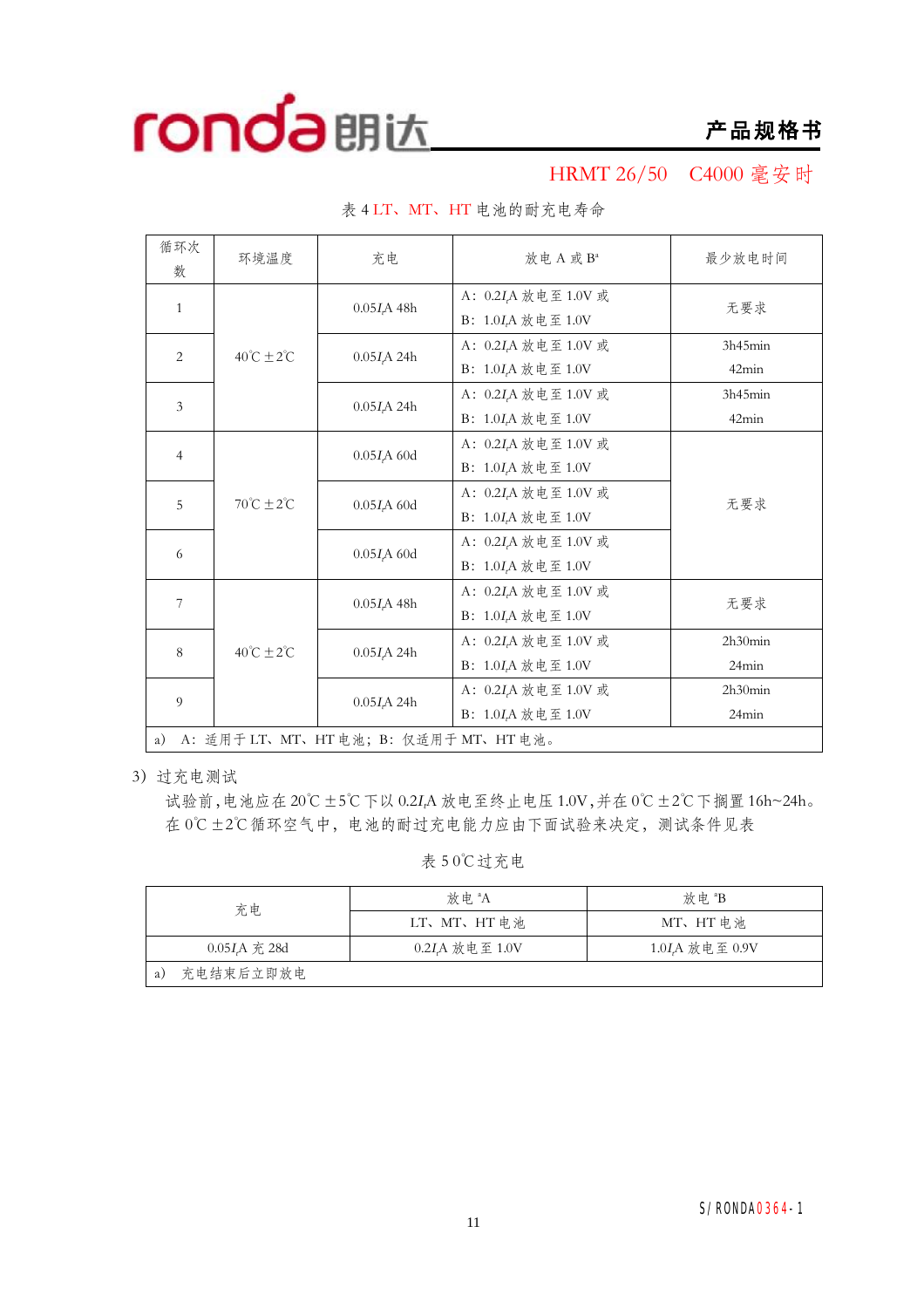

HRMT 26/50 C4000 毫安时

| 循环次<br>数                                    | 环境温度                         | 充电                       | 放电 A 或 B <sup>a</sup>                                                              | 最少放电时间           |  |  |  |
|---------------------------------------------|------------------------------|--------------------------|------------------------------------------------------------------------------------|------------------|--|--|--|
| $\mathbf{1}$                                |                              | 0.05I <sub>r</sub> A 48h | A: 0.2 <i>I<sub>t</sub>A</i> 放电至 1.0V 或<br>B: $1.0I_tA$ 放电至 $1.0V$                 | 无要求              |  |  |  |
| $\overline{2}$<br>3                         | $40^{\circ}C \pm 2^{\circ}C$ | 0.05I <sub>r</sub> A 24h | A: 0.2 <i>I</i> <sub>r</sub> A 放电至 1.0V 或<br>B: 1.0I <sub>r</sub> A 放电至 1.0V       | 3h45min<br>42min |  |  |  |
|                                             |                              | $0.05I\text{A}$ 24h      | A: 0.2 <i>I<sub>t</sub>A</i> 放电至 1.0V 或<br>B: 1.0I,A 放电至 1.0V                      | 3h45min<br>42min |  |  |  |
| $\overline{4}$                              | $70^{\circ}C \pm 2^{\circ}C$ | $0.05IrA$ 60d            | A: 0.2 <i>I</i> <sub>r</sub> A 放电至 1.0V 或<br>B: 1.0I,A 放电至 1.0V                    |                  |  |  |  |
| 5                                           |                              | $0.05IrA$ 60d            | A: 0.2 <i>I</i> <sub>r</sub> A 放电至 1.0V 或<br>B: 1.0 <i>I<sub>r</sub>A</i> 放电至 1.0V | 无要求              |  |  |  |
| 6                                           |                              | $0.05IrA$ 60d            | A: 0.2 <i>I</i> <sub>r</sub> A 放电至 1.0V 或<br>B: $1.0I_tA$ 放电至 $1.0V$               |                  |  |  |  |
| 7                                           | $40^{\circ}C \pm 2^{\circ}C$ | $0.05I_{t}A$ 48h         | A: 0.2 <i>I</i> <sub>r</sub> A 放电至 1.0V 或<br>B: 1.0I <sub>r</sub> A 放电至 1.0V       | 无要求              |  |  |  |
| 8<br>9                                      |                              | $0.05I$ A 24h            | A: 0.2I <sub>r</sub> A 放电至 1.0V 或<br>B: $1.0I_tA$ 放电至 $1.0V$                       | 2h30min<br>24min |  |  |  |
|                                             |                              | 0.05I <sub>r</sub> A 24h | A: 0.2 <i>I<sub>t</sub>A</i> 放电至 1.0V 或<br>B: 1.0I <sub>A</sub> 放电至 1.0V           | 2h30min<br>24min |  |  |  |
| A: 适用于 LT、MT、HT 电池; B: 仅适用于 MT、HT 电池。<br>a) |                              |                          |                                                                                    |                  |  |  |  |

表 4 LT、MT、HT 电池的耐充电寿命

3)过充电测试

试验前,电池应在 20℃±5℃下以 0.2*<sup>I</sup>t*A 放电至终止电压 1.0V,并在 0℃±2℃下搁置 16h~24h。 在 0℃±2℃循环空气中,电池的耐过充电能力应由下面试验来决定,测试条件见表

表 5 0℃过充电

| 充电                | 放 申 <sup>a</sup> A | 放电 <sup>a</sup> B          |  |  |
|-------------------|--------------------|----------------------------|--|--|
|                   | LT、MT、HT 电池        | MT、HT 电池                   |  |  |
| $0.05I$ , A 充 28d | 0.2IA 放电至 1.0V     | 1.0I <sub>A</sub> 放电至 0.9V |  |  |
| 充电结束后立即放电<br>a)   |                    |                            |  |  |